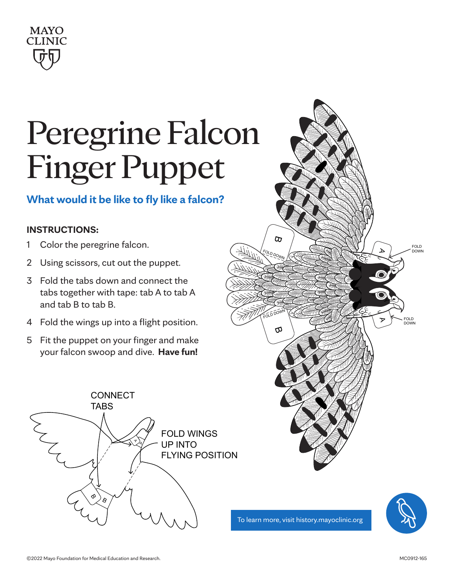

### Peregrine Falcon Finger Puppet CONNECT

### **What would it be like to fly like a falcon?**

#### UP INTO A **FLYING** POSITION **INSTRUCTIONS:**

- 1 Color the peregrine falcon.
- 2 Using scissors, cut out the puppet.
- 3 Fold the tabs down and connect the tabs together with tape: tab A to tab A and tab B to tab B.
- 4 Fold the wings up into a flight position.
- 5 Fit the puppet on your finger and make your falcon swoop and dive. **Have fun!**





To learn more, visit history.mayoclinic.org

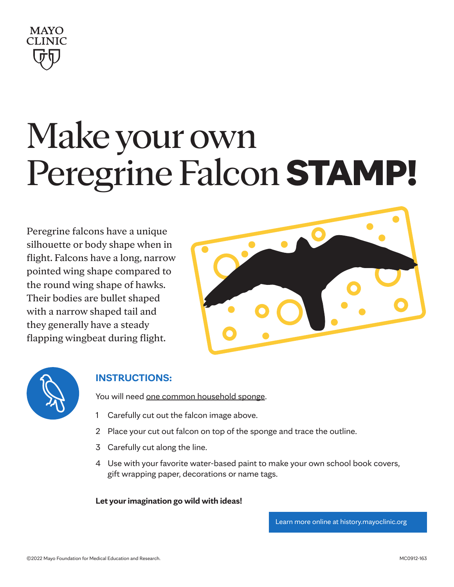

# Make your own Peregrine Falcon STAMP!

Peregrine falcons have a unique silhouette or body shape when in flight. Falcons have a long, narrow pointed wing shape compared to the round wing shape of hawks. Their bodies are bullet shaped with a narrow shaped tail and they generally have a steady flapping wingbeat during flight.





### **INSTRUCTIONS:**

You will need one common household sponge.

- 1 Carefully cut out the falcon image above.
- 2 Place your cut out falcon on top of the sponge and trace the outline.
- 3 Carefully cut along the line.
- 4 Use with your favorite water-based paint to make your own school book covers, gift wrapping paper, decorations or name tags.

**Let your imagination go wild with ideas!**

Learn more online at [history.mayoclinic.org](http://history.mayoclinic.org)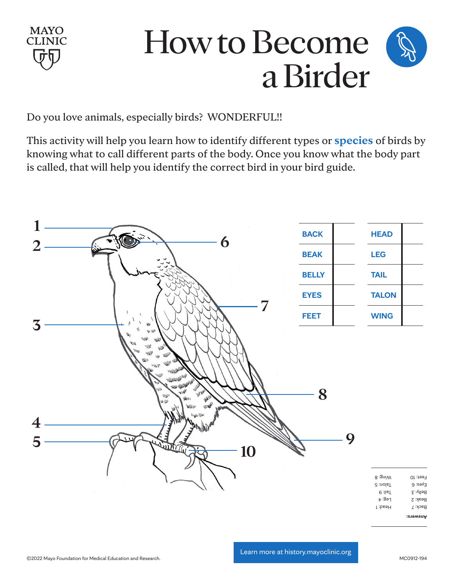

### How to Become a Birder

Do you love animals, especially birds? WONDERFUL!!

This activity will help you learn how to identify different types or **species** of birds by knowing what to call different parts of the body. Once you know what the body part is called, that will help you identify the correct bird in your bird guide.

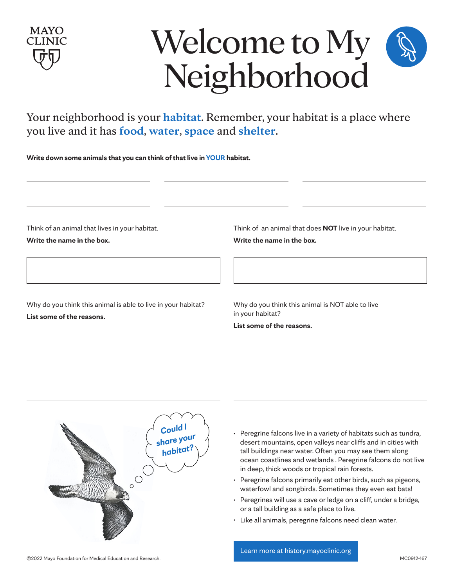

## Welcome to My Neighborhood

Your neighborhood is your **habitat**. Remember, your habitat is a place where you live and it has **food**, **water**, **space** and **shelter**.

**Write down some animals that you can think of that live in YOUR habitat.**

Think of an animal that lives in your habitat.

**Write the name in the box.**

Why do you think this animal is able to live in your habitat? **List some of the reasons.**

Think of an animal that does **NOT** live in your habitat. **Write the name in the box.**

Why do you think this animal is NOT able to live in your habitat?

**List some of the reasons.**



- Peregrine falcons live in a variety of habitats such as tundra, desert mountains, open valleys near cliffs and in cities with tall buildings near water. Often you may see them along ocean coastlines and wetlands . Peregrine falcons do not live in deep, thick woods or tropical rain forests.
- Peregrine falcons primarily eat other birds, such as pigeons, waterfowl and songbirds. Sometimes they even eat bats!
- Peregrines will use a cave or ledge on a cliff, under a bridge, or a tall building as a safe place to live.
- Like all animals, peregrine falcons need clean water.

[Learn more at history.mayoclinic.org](http://history.mayoclinic.org)

©2022 Mayo Foundation for Medical Education and Research.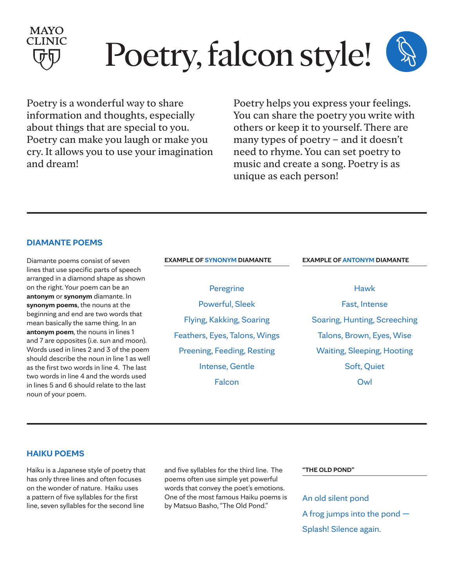

# Poetry, falcon style!

Poetry is a wonderful way to share information and thoughts, especially about things that are special to you. Poetry can make you laugh or make you cry. It allows you to use your imagination and dream!

Poetry helps you express your feelings. You can share the poetry you write with others or keep it to yourself. There are many types of poetry – and it doesn't need to rhyme. You can set poetry to music and create a song. Poetry is as unique as each person!

#### **DIAMANTE POEMS**

Diamante poems consist of seven lines that use specific parts of speech arranged in a diamond shape as shown on the right. Your poem can be an **antonym** or **synonym** diamante. In **synonym poems**, the nouns at the beginning and end are two words that mean basically the same thing. In an **antonym poem**, the nouns in lines 1 and 7 are opposites (i.e. sun and moon). Words used in lines 2 and 3 of the poem should describe the noun in line 1 as well as the first two words in line 4. The last two words in line 4 and the words used in lines 5 and 6 should relate to the last noun of your poem.

| <b>EXAMPLE OF SYNONYM DIAMANTE</b> | <b>EXAMPLE OF ANTONYM DIAMANTE</b> |
|------------------------------------|------------------------------------|
|                                    |                                    |
| Peregrine                          | Hawk                               |
| <b>Powerful, Sleek</b>             | Fast, Intense                      |
| Flying, Kakking, Soaring           | Soaring, Hunting, Screeching       |
| Feathers, Eyes, Talons, Wings      | Talons, Brown, Eyes, Wise          |
| Preening, Feeding, Resting         | <b>Waiting, Sleeping, Hooting</b>  |
| Intense, Gentle                    | Soft, Quiet                        |
| Falcon                             | Owl                                |
|                                    |                                    |

#### **HAIKU POEMS**

Haiku is a Japanese style of poetry that has only three lines and often focuses on the wonder of nature. Haiku uses a pattern of five syllables for the first line, seven syllables for the second line

and five syllables for the third line. The poems often use simple yet powerful words that convey the poet's emotions. One of the most famous Haiku poems is by Matsuo Basho, "The Old Pond."

**"THE OLD POND"**

An old silent pond A frog jumps into the pond — Splash! Silence again.